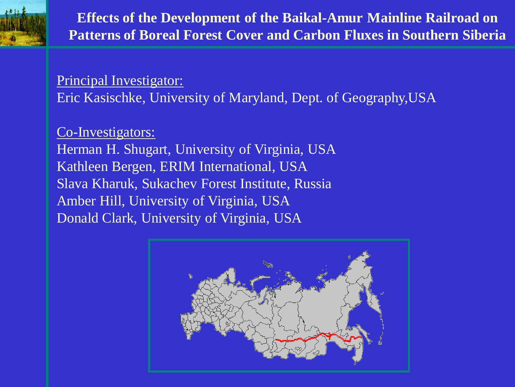

**Effects of the Development of the Baikal-Amur Mainline Railroad on Patterns of Boreal Forest Cover and Carbon Fluxes in Southern Siberia**

Principal Investigator: Eric Kasischke, University of Maryland, Dept. of Geography,USA

### Co-Investigators:

Herman H. Shugart, University of Virginia, USA Kathleen Bergen, ERIM International, USA Slava Kharuk, Sukachev Forest Institute, Russia Amber Hill, University of Virginia, USA Donald Clark, University of Virginia, USA

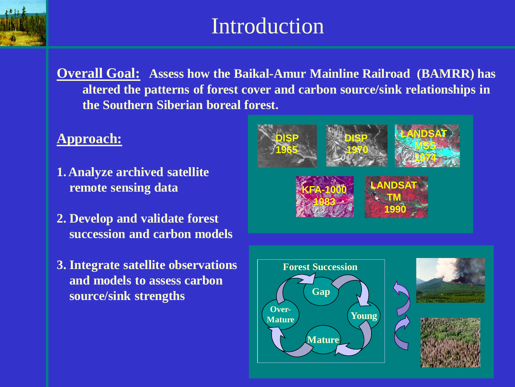

# Introduction

**Overall Goal: Assess how the Baikal-Amur Mainline Railroad (BAMRR) has altered the patterns of forest cover and carbon source/sink relationships in the Southern Siberian boreal forest.**

#### **Approach:**

- **1. Analyze archived satellite remote sensing data**
- **2. Develop and validate forest succession and carbon models**
- **3. Integrate satellite observations and models to assess carbon source/sink strengths**







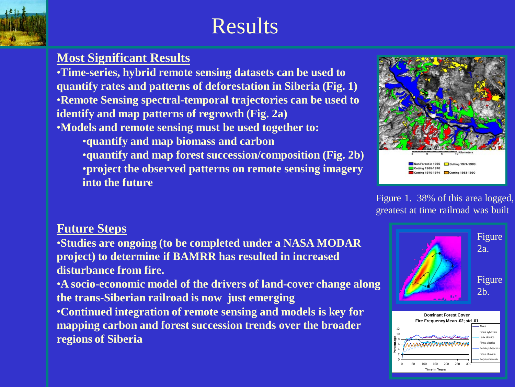

# Results

### **Most Significant Results**

•**Time-series, hybrid remote sensing datasets can be used to quantify rates and patterns of deforestation in Siberia (Fig. 1)** •**Remote Sensing spectral-temporal trajectories can be used to identify and map patterns of regrowth (Fig. 2a)** •**Models and remote sensing must be used together to:**

•**quantify and map biomass and carbon** •**quantify and map forest succession/composition (Fig. 2b)**  •**project the observed patterns on remote sensing imagery into the future**



Figure 1. 38% of this area logged, greatest at time railroad was built

### **Future Steps**

•**Studies are ongoing (to be completed under a NASA MODAR project) to determine if BAMRR has resulted in increased disturbance from fire.**

•**A socio-economic model of the drivers of land-cover change along the trans-Siberian railroad is now just emerging**

•**Continued integration of remote sensing and models is key for mapping carbon and forest succession trends over the broader regions of Siberia**